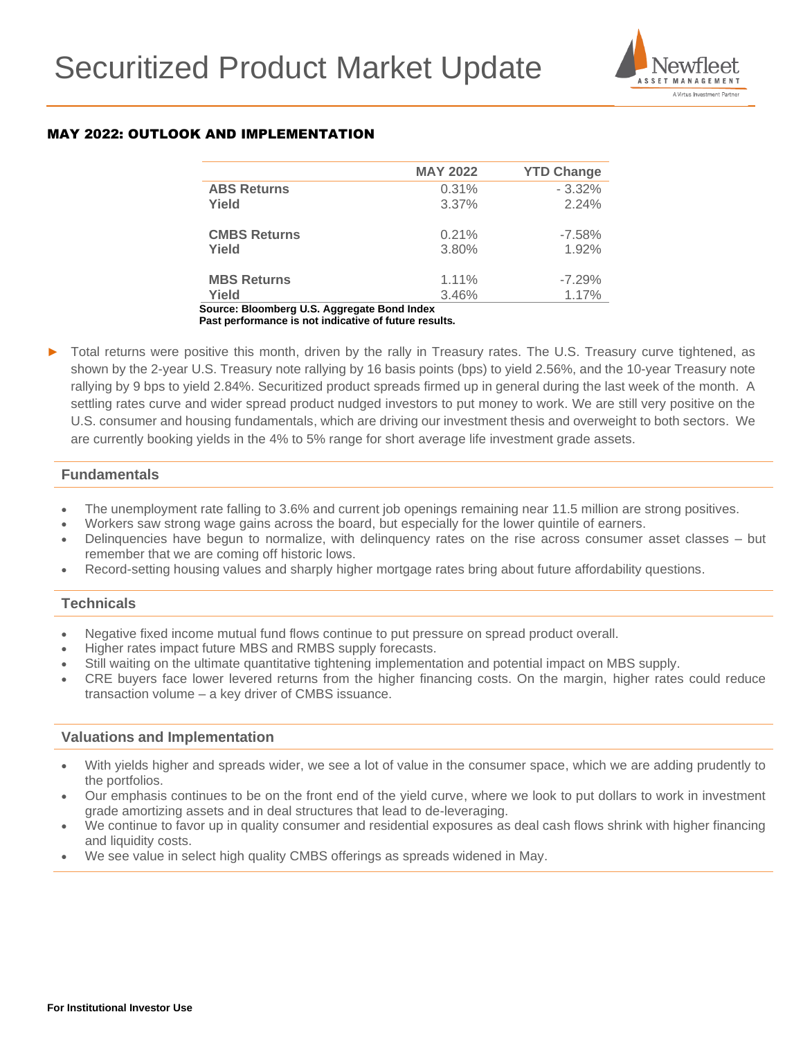

## MAY 2022: OUTLOOK AND IMPLEMENTATION

|                     | <b>MAY 2022</b> | <b>YTD Change</b> |
|---------------------|-----------------|-------------------|
| <b>ABS Returns</b>  | 0.31%           | $-3.32%$          |
| Yield               | 3.37%           | 2.24%             |
| <b>CMBS Returns</b> | 0.21%           | $-7.58%$          |
| Yield               | 3.80%           | 1.92%             |
|                     |                 |                   |
| <b>MBS Returns</b>  | 1.11%           | $-7.29%$          |
| Yield               | 3.46%           | 1.17%             |

 **Source: Bloomberg U.S. Aggregate Bond Index Past performance is not indicative of future results.**

Total returns were positive this month, driven by the rally in Treasury rates. The U.S. Treasury curve tightened, as shown by the 2-year U.S. Treasury note rallying by 16 basis points (bps) to yield 2.56%, and the 10-year Treasury note rallying by 9 bps to yield 2.84%. Securitized product spreads firmed up in general during the last week of the month. A settling rates curve and wider spread product nudged investors to put money to work. We are still very positive on the U.S. consumer and housing fundamentals, which are driving our investment thesis and overweight to both sectors. We are currently booking yields in the 4% to 5% range for short average life investment grade assets.

### **Fundamentals**

- The unemployment rate falling to 3.6% and current job openings remaining near 11.5 million are strong positives.
- Workers saw strong wage gains across the board, but especially for the lower quintile of earners.
- Delinquencies have begun to normalize, with delinquency rates on the rise across consumer asset classes but remember that we are coming off historic lows.
- Record-setting housing values and sharply higher mortgage rates bring about future affordability questions.

## **Technicals**

- Negative fixed income mutual fund flows continue to put pressure on spread product overall.
- Higher rates impact future MBS and RMBS supply forecasts.
- Still waiting on the ultimate quantitative tightening implementation and potential impact on MBS supply.
- CRE buyers face lower levered returns from the higher financing costs. On the margin, higher rates could reduce transaction volume – a key driver of CMBS issuance.

### **Valuations and Implementation**

- With yields higher and spreads wider, we see a lot of value in the consumer space, which we are adding prudently to the portfolios.
- Our emphasis continues to be on the front end of the yield curve, where we look to put dollars to work in investment grade amortizing assets and in deal structures that lead to de-leveraging.
- We continue to favor up in quality consumer and residential exposures as deal cash flows shrink with higher financing and liquidity costs.
- We see value in select high quality CMBS offerings as spreads widened in May.